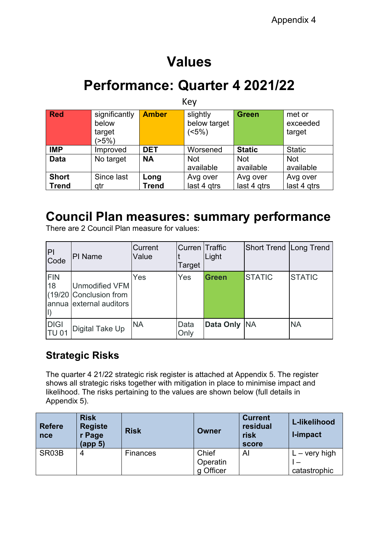# **Values**

## **Performance: Quarter 4 2021/22**

| Key                          |                                           |                      |                                  |                         |                              |
|------------------------------|-------------------------------------------|----------------------|----------------------------------|-------------------------|------------------------------|
| <b>Red</b>                   | significantly<br>below<br>target<br>(>5%) | <b>Amber</b>         | slightly<br>below target<br>(5%) | <b>Green</b>            | met or<br>exceeded<br>target |
| <b>IMP</b>                   | Improved                                  | <b>DET</b>           | Worsened                         | <b>Static</b>           | <b>Static</b>                |
| <b>Data</b>                  | No target                                 | <b>NA</b>            | <b>Not</b><br>available          | <b>Not</b><br>available | <b>Not</b><br>available      |
| <b>Short</b><br><b>Trend</b> | Since last<br>qtr                         | Long<br><b>Trend</b> | Avg over<br>last 4 gtrs          | Avg over<br>last 4 gtrs | Avg over<br>last 4 gtrs      |

## **Council Plan measures: summary performance**

There are 2 Council Plan measure for values:

| P <br>Code                  | PI Name                                                                    | Current<br>Value | <b>Curren Traffic</b><br>Target | Light        | <b>Short Trend Long Trend</b> |               |
|-----------------------------|----------------------------------------------------------------------------|------------------|---------------------------------|--------------|-------------------------------|---------------|
| <b>FIN</b><br>18            | <b>Unmodified VFM</b><br>(19/20 Conclusion from<br>annua external auditors | Yes              | Yes                             | Green        | <b>STATIC</b>                 | <b>STATIC</b> |
| <b>DIGI</b><br><b>TU 01</b> | <b>Digital Take Up</b>                                                     | <b>NA</b>        | Data<br>Only                    | Data Only NA |                               | <b>NA</b>     |

## **Strategic Risks**

The quarter 4 21/22 strategic risk register is attached at Appendix 5. The register shows all strategic risks together with mitigation in place to minimise impact and likelihood. The risks pertaining to the values are shown below (full details in Appendix 5).

| <b>Refere</b><br>nce | <b>Risk</b><br><b>Registe</b><br>r Page<br>(app <sub>5</sub> ) | <b>Risk</b>     | <b>Owner</b>                   | <b>Current</b><br>residual<br>risk<br>score | L-likelihood<br>I-impact               |
|----------------------|----------------------------------------------------------------|-----------------|--------------------------------|---------------------------------------------|----------------------------------------|
| SR03B                | 4                                                              | <b>Finances</b> | Chief<br>Operatin<br>g Officer | Al                                          | $L - \text{very high}$<br>catastrophic |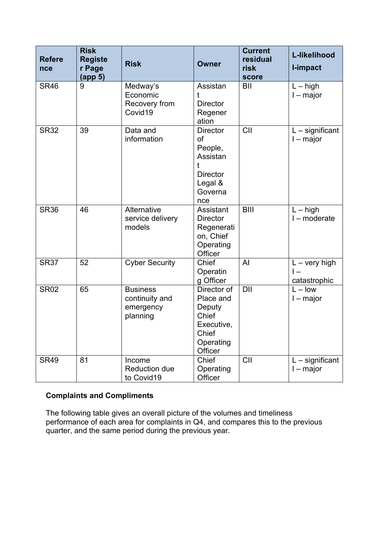| <b>Refere</b><br>nce | <b>Risk</b><br><b>Registe</b><br>r Page<br>(app <sub>5</sub> ) | <b>Risk</b>                                                | <b>Owner</b>                                                                                 | <b>Current</b><br>residual<br>risk<br>score | L-likelihood<br><b>I-impact</b>               |
|----------------------|----------------------------------------------------------------|------------------------------------------------------------|----------------------------------------------------------------------------------------------|---------------------------------------------|-----------------------------------------------|
| <b>SR46</b>          | 9                                                              | Medway's<br>Economic<br>Recovery from<br>Covid19           | Assistan<br><b>Director</b><br>Regener<br>ation                                              | BII                                         | $L - high$<br>$I - major$                     |
| <b>SR32</b>          | 39                                                             | Data and<br>information                                    | <b>Director</b><br>of<br>People,<br>Assistan<br><b>Director</b><br>Legal &<br>Governa<br>nce | CII                                         | $L$ – significant<br>$l$ – major              |
| <b>SR36</b>          | 46                                                             | Alternative<br>service delivery<br>models                  | Assistant<br><b>Director</b><br>Regenerati<br>on, Chief<br>Operating<br>Officer              | <b>BIII</b>                                 | $L - high$<br>I - moderate                    |
| <b>SR37</b>          | 52                                                             | <b>Cyber Security</b>                                      | Chief<br>Operatin<br>g Officer                                                               | AI                                          | $L - \text{very high}$<br>l —<br>catastrophic |
| <b>SR02</b>          | 65                                                             | <b>Business</b><br>continuity and<br>emergency<br>planning | Director of<br>Place and<br>Deputy<br>Chief<br>Executive,<br>Chief<br>Operating<br>Officer   | <b>DII</b>                                  | $L - low$<br>$l$ – major                      |
| <b>SR49</b>          | 81                                                             | Income<br><b>Reduction due</b><br>to Covid19               | Chief<br>Operating<br>Officer                                                                | CII                                         | $L$ – significant<br>$I - major$              |

## **Complaints and Compliments**

The following table gives an overall picture of the volumes and timeliness performance of each area for complaints in Q4, and compares this to the previous quarter, and the same period during the previous year.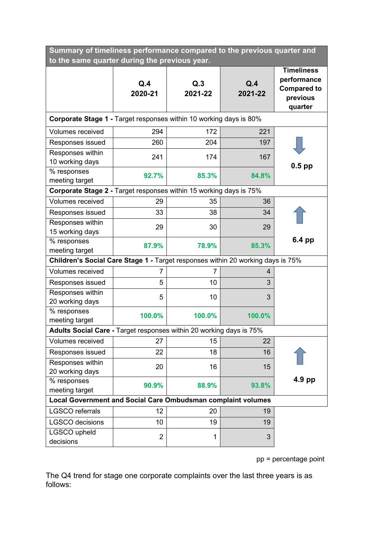| Summary of timeliness performance compared to the previous quarter and          |                |                |                |                                                                               |  |  |
|---------------------------------------------------------------------------------|----------------|----------------|----------------|-------------------------------------------------------------------------------|--|--|
| to the same quarter during the previous year.                                   |                |                |                |                                                                               |  |  |
|                                                                                 | Q.4<br>2020-21 | Q.3<br>2021-22 | Q.4<br>2021-22 | <b>Timeliness</b><br>performance<br><b>Compared to</b><br>previous<br>quarter |  |  |
| <b>Corporate Stage 1 - Target responses within 10 working days is 80%</b>       |                |                |                |                                                                               |  |  |
| <b>Volumes received</b>                                                         | 294            | 172            | 221            |                                                                               |  |  |
| Responses issued                                                                | 260            | 204            | 197            |                                                                               |  |  |
| Responses within<br>10 working days                                             | 241            | 174            | 167            | 0.5 pp                                                                        |  |  |
| % responses<br>meeting target                                                   | 92.7%          | 85.3%          | 84.8%          |                                                                               |  |  |
| <b>Corporate Stage 2 - Target responses within 15 working days is 75%</b>       |                |                |                |                                                                               |  |  |
| <b>Volumes received</b>                                                         | 29             | 35             | 36             |                                                                               |  |  |
| Responses issued                                                                | 33             | 38             | 34             |                                                                               |  |  |
| Responses within<br>15 working days                                             | 29             | 30             | 29             |                                                                               |  |  |
| % responses<br>meeting target                                                   | 87.9%          | 78.9%          | 85.3%          | 6.4 pp                                                                        |  |  |
| Children's Social Care Stage 1 - Target responses within 20 working days is 75% |                |                |                |                                                                               |  |  |
| Volumes received                                                                | 7              | 7              | 4              |                                                                               |  |  |
| Responses issued                                                                | 5              | 10             | 3              |                                                                               |  |  |
| Responses within<br>20 working days                                             | 5              | 10             | 3              |                                                                               |  |  |
| % responses<br>meeting target                                                   | 100.0%         | 100.0%         | 100.0%         |                                                                               |  |  |
| Adults Social Care - Target responses within 20 working days is 75%             |                |                |                |                                                                               |  |  |
| Volumes received                                                                | 27             | 15             | 22             |                                                                               |  |  |
| Responses issued                                                                | 22             | 18             | 16             |                                                                               |  |  |
| Responses within<br>20 working days                                             | 20             | 16             | 15             |                                                                               |  |  |
| % responses<br>meeting target                                                   | 90.9%          | 88.9%          | 93.8%          | $4.9$ pp                                                                      |  |  |
| Local Government and Social Care Ombudsman complaint volumes                    |                |                |                |                                                                               |  |  |
| <b>LGSCO</b> referrals                                                          | 12             | 20             | 19             |                                                                               |  |  |
| <b>LGSCO</b> decisions                                                          | 10             | 19             | 19             |                                                                               |  |  |
| LGSCO upheld<br>decisions                                                       | $\overline{2}$ | 1              | 3              |                                                                               |  |  |

pp = percentage point

The Q4 trend for stage one corporate complaints over the last three years is as follows: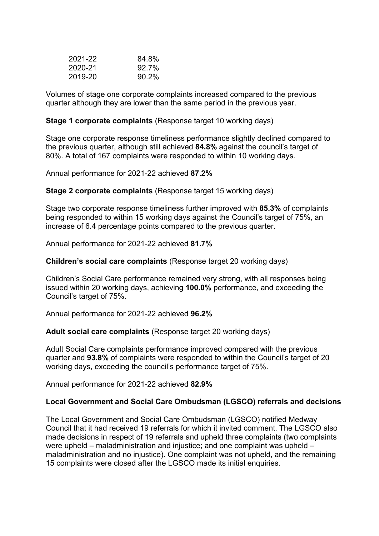| 2021-22 | 84.8%   |
|---------|---------|
| 2020-21 | $927\%$ |
| 2019-20 | 90.2%   |

Volumes of stage one corporate complaints increased compared to the previous quarter although they are lower than the same period in the previous year.

#### **Stage 1 corporate complaints** (Response target 10 working days)

Stage one corporate response timeliness performance slightly declined compared to the previous quarter, although still achieved **84.8%** against the council's target of 80%. A total of 167 complaints were responded to within 10 working days.

Annual performance for 2021-22 achieved **87.2%**

**Stage 2 corporate complaints** (Response target 15 working days)

Stage two corporate response timeliness further improved with **85.3%** of complaints being responded to within 15 working days against the Council's target of 75%, an increase of 6.4 percentage points compared to the previous quarter.

Annual performance for 2021-22 achieved **81.7%**

**Children's social care complaints** (Response target 20 working days)

Children's Social Care performance remained very strong, with all responses being issued within 20 working days, achieving **100.0%** performance, and exceeding the Council's target of 75%.

Annual performance for 2021-22 achieved **96.2%**

### **Adult social care complaints** (Response target 20 working days)

Adult Social Care complaints performance improved compared with the previous quarter and **93.8%** of complaints were responded to within the Council's target of 20 working days, exceeding the council's performance target of 75%.

Annual performance for 2021-22 achieved **82.9%**

### **Local Government and Social Care Ombudsman (LGSCO) referrals and decisions**

The Local Government and Social Care Ombudsman (LGSCO) notified Medway Council that it had received 19 referrals for which it invited comment. The LGSCO also made decisions in respect of 19 referrals and upheld three complaints (two complaints were upheld – maladministration and injustice; and one complaint was upheld – maladministration and no injustice). One complaint was not upheld, and the remaining 15 complaints were closed after the LGSCO made its initial enquiries.